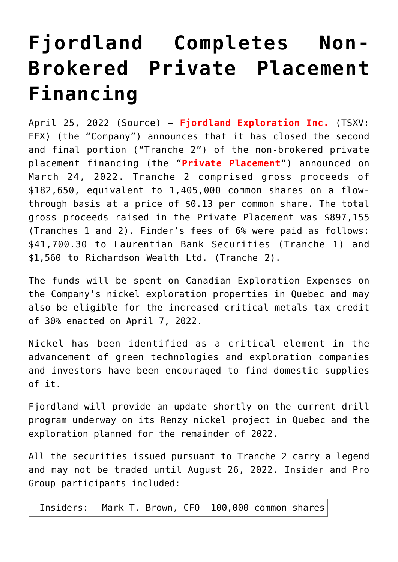# **[Fjordland Completes Non-](https://investorintel.com/markets/technology-metals/technology-metals-news/fjordland-completes-non-brokered-private-placement-financing/)[Brokered Private Placement](https://investorintel.com/markets/technology-metals/technology-metals-news/fjordland-completes-non-brokered-private-placement-financing/) [Financing](https://investorintel.com/markets/technology-metals/technology-metals-news/fjordland-completes-non-brokered-private-placement-financing/)**

April 25, 2022 ([Source\)](https://www.newsfilecorp.com/release/121462/Fjordland-Completes-NonBrokered-Private-Placement-Financing) – **Fjordland Exploration Inc.** (TSXV: FEX) (the "Company") announces that it has closed the second and final portion ("Tranche 2") of the non-brokered private placement financing (the "**Private Placement**") announced on March 24, 2022. Tranche 2 comprised gross proceeds of \$182,650, equivalent to 1,405,000 common shares on a flowthrough basis at a price of \$0.13 per common share. The total gross proceeds raised in the Private Placement was \$897,155 (Tranches 1 and 2). Finder's fees of 6% were paid as follows: \$41,700.30 to Laurentian Bank Securities (Tranche 1) and \$1,560 to Richardson Wealth Ltd. (Tranche 2).

The funds will be spent on Canadian Exploration Expenses on the Company's nickel exploration properties in Quebec and may also be eligible for the increased critical metals tax credit of 30% enacted on April 7, 2022.

Nickel has been identified as a critical element in the advancement of green technologies and exploration companies and investors have been encouraged to find domestic supplies of it.

Fjordland will provide an update shortly on the current drill program underway on its Renzy nickel project in Quebec and the exploration planned for the remainder of 2022.

All the securities issued pursuant to Tranche 2 carry a legend and may not be traded until August 26, 2022. Insider and Pro Group participants included:

Insiders: | Mark T. Brown,  $CF0$  | 100,000 common shares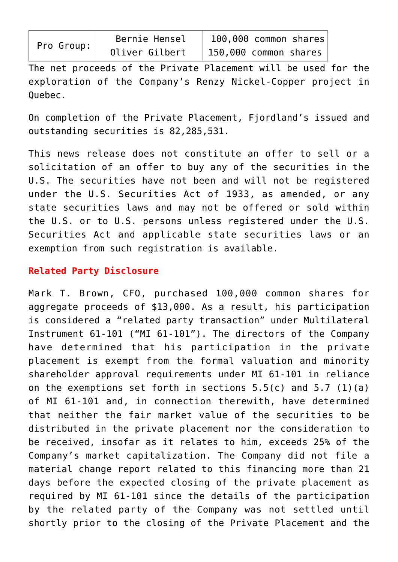| Pro Group: |
|------------|

The net proceeds of the Private Placement will be used for the exploration of the Company's Renzy Nickel-Copper project in Quebec.

On completion of the Private Placement, Fjordland's issued and outstanding securities is 82,285,531.

This news release does not constitute an offer to sell or a solicitation of an offer to buy any of the securities in the U.S. The securities have not been and will not be registered under the U.S. Securities Act of 1933, as amended, or any state securities laws and may not be offered or sold within the U.S. or to U.S. persons unless registered under the U.S. Securities Act and applicable state securities laws or an exemption from such registration is available.

## **Related Party Disclosure**

Mark T. Brown, CFO, purchased 100,000 common shares for aggregate proceeds of \$13,000. As a result, his participation is considered a "related party transaction" under Multilateral Instrument 61-101 ("MI 61-101"). The directors of the Company have determined that his participation in the private placement is exempt from the formal valuation and minority shareholder approval requirements under MI 61-101 in reliance on the exemptions set forth in sections  $5.5(c)$  and  $5.7(1)(a)$ of MI 61-101 and, in connection therewith, have determined that neither the fair market value of the securities to be distributed in the private placement nor the consideration to be received, insofar as it relates to him, exceeds 25% of the Company's market capitalization. The Company did not file a material change report related to this financing more than 21 days before the expected closing of the private placement as required by MI 61-101 since the details of the participation by the related party of the Company was not settled until shortly prior to the closing of the Private Placement and the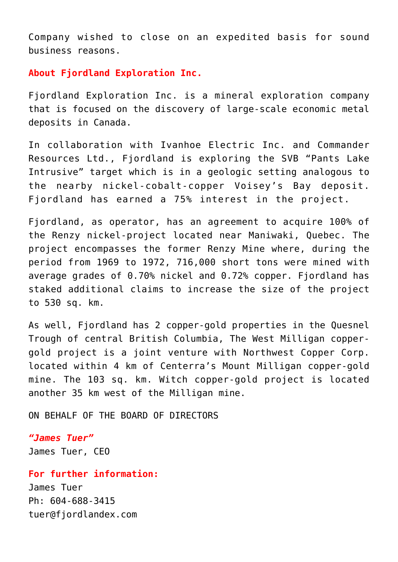Company wished to close on an expedited basis for sound business reasons.

## **About Fjordland Exploration Inc.**

Fjordland Exploration Inc. is a mineral exploration company that is focused on the discovery of large-scale economic metal deposits in Canada.

In collaboration with Ivanhoe Electric Inc. and Commander Resources Ltd., Fjordland is exploring the SVB "Pants Lake Intrusive" target which is in a geologic setting analogous to the nearby nickel-cobalt-copper Voisey's Bay deposit. Fjordland has earned a 75% interest in the project.

Fjordland, as operator, has an agreement to acquire 100% of the Renzy nickel-project located near Maniwaki, Quebec. The project encompasses the former Renzy Mine where, during the period from 1969 to 1972, 716,000 short tons were mined with average grades of 0.70% nickel and 0.72% copper. Fjordland has staked additional claims to increase the size of the project to 530 sq. km.

As well, Fjordland has 2 copper-gold properties in the Quesnel Trough of central British Columbia, The West Milligan coppergold project is a joint venture with Northwest Copper Corp. located within 4 km of Centerra's Mount Milligan copper-gold mine. The 103 sq. km. Witch copper-gold project is located another 35 km west of the Milligan mine.

ON BEHALF OF THE BOARD OF DIRECTORS

#### *"James Tuer"*

James Tuer, CEO

### **For further information:**

James Tuer Ph: 604-688-3415 [tuer@fjordlandex.com](mailto:tuer@fjordlandex.com)